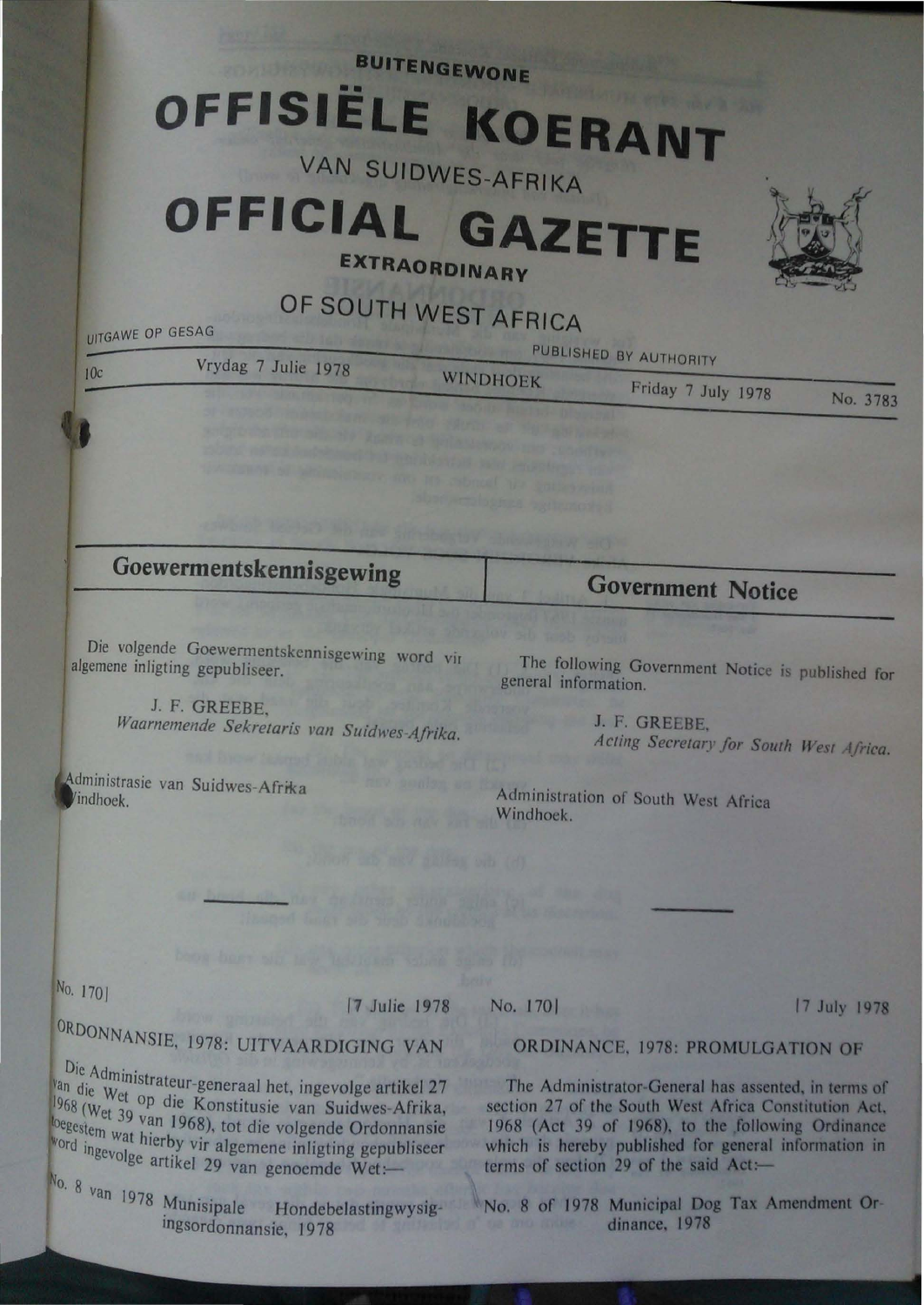**BUITENGEWONE** 

# **OFFISIËLE KOERANT**

## **VAN SUIDWES-AFRIKA**

## **OFFICIAL GAZETTE**

**EXTRAORDINARY** 

## **OF SOUTH WEST AFRICA**

UITGAWE OP GESAG

| 10c                     | Vrydag 7 Julie 1978                                                                                                                                                                                                                                                                                                                                                                                                                                                    | PUBLISHED BY AUTHORITY                                                                            |                    |          |
|-------------------------|------------------------------------------------------------------------------------------------------------------------------------------------------------------------------------------------------------------------------------------------------------------------------------------------------------------------------------------------------------------------------------------------------------------------------------------------------------------------|---------------------------------------------------------------------------------------------------|--------------------|----------|
|                         |                                                                                                                                                                                                                                                                                                                                                                                                                                                                        | <b>WINDHOEK</b><br>on a control of a three leads and start fund on the fund to be the property of | Friday 7 July 1978 | No. 3783 |
|                         | are available property control with friends of the control of the state of the control of the control of the control of the control of the control of the control of the control of the control of the control of the control<br>and of the first series and Adding of the Content of the Second Series<br>and the contract funds to still the state of the contract of the contract of the contract of<br>discussions of the company and he referred his smiles could | <b>SUSPENDIARS WITH ANY</b>                                                                       |                    |          |
|                         | and book to the service significants of checks about any                                                                                                                                                                                                                                                                                                                                                                                                               |                                                                                                   |                    |          |
| Goewermentskennisgewing |                                                                                                                                                                                                                                                                                                                                                                                                                                                                        | <b>Government Notice</b>                                                                          |                    |          |

Die volgende Goewermentskcnnisgcwing word vir algemene inligting gepubliseer.

> J. F. GREEBE. *Waarnemende Sekretaris Pan Suidwes Afrika.*

dministrasie van Suidwes-Afrika indhoek.

The following Government Notice is published for general information.

> J. P. GREEBE, Acting Secretary for South West Africa.

Administration of South West Africa Windhoek.

No. 1701

0

<sup>1</sup>'1 Julie 1978

RDONNANSIE, 1978: UITVAARDJGJNG VAN

Die Administrateur-generaal het, ingevolge artikel 27  $v_{\text{an}}$  die  $w_{\text{on}}$  must rateur-generaal het, ingevolge artikel 27  $1968~(W_{\text{et}}^{\text{20}})$  op die Konstitusie van Suidwes-Afrika,  $\frac{1000 \text{ (Wet 39}}{0.9 \text{ (Wet 39)}}$  van 1968), tot die volgende Ordonnansie loegestem wat hierby vir algemene inligting gepubliseer word ingevolge artikel 29 van genoemde Wet:-

 $N_0$ . 8 van 1978 Munisipale Hondebelastingwysigingsordonnansie, 1978

No. 1701 17 July 1978

#### ORDINANCE. 1978: PROMULGATION OF

The Administrator-General has assented, in terms of section 27 of the South West Africa Constitution Act. 1968 (Act 39 of 1968), to the following Ordinance which is hereby published for general information in terms of section 29 of the said  $Act$ :

No. 8 of 1978 Municipal Dog Tax Amendment Or dinance, 1978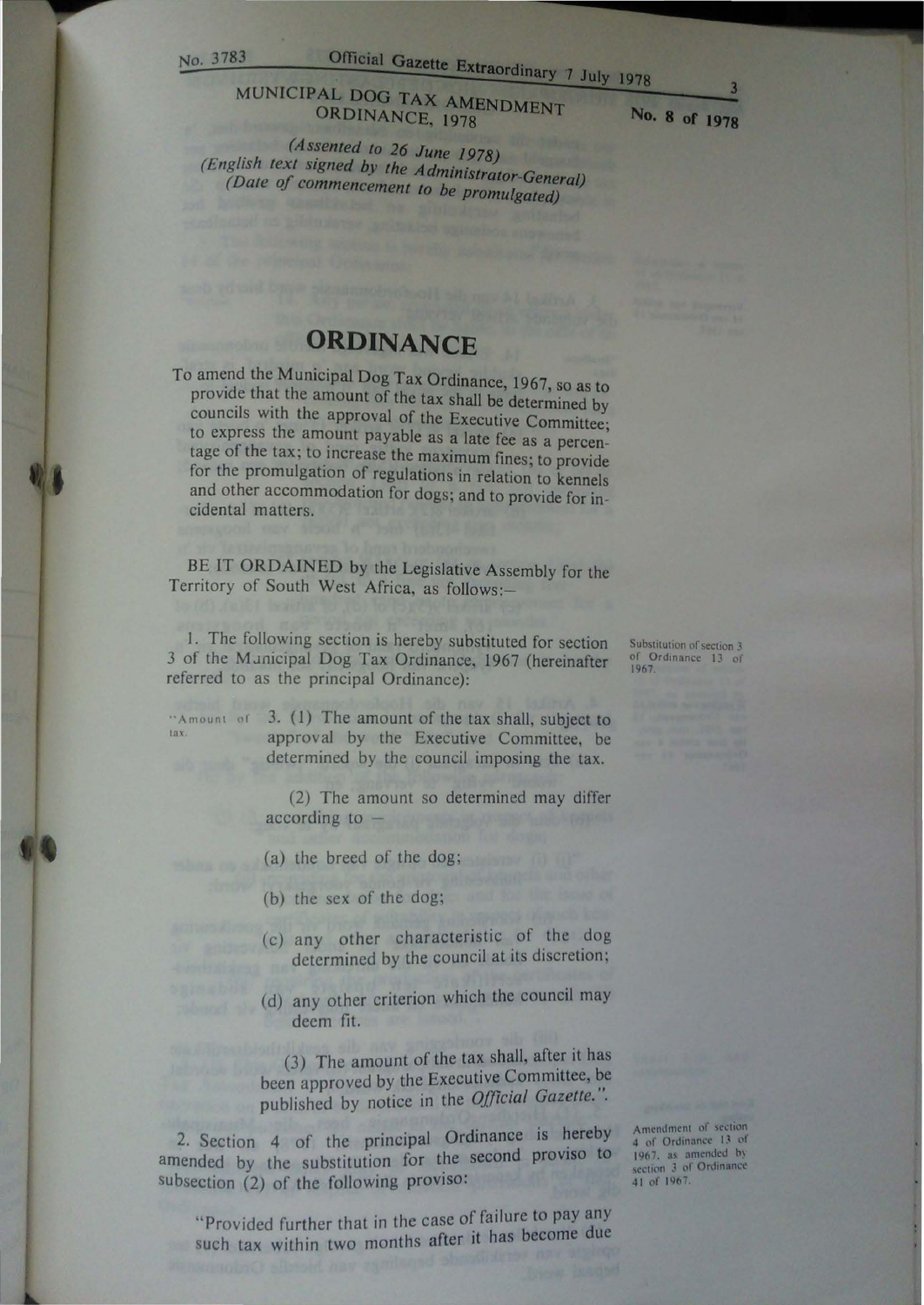tax.

## No. 3783 Official Gazette Extraordinary 7 July 1978

#### MUNICIPAL DOG TAX AMENDMENT ORDINANCE, 1978

No. **8 of 1978** 

*(Assented to 26 June 1978) (English text signed by the Administrator-General) (Date of commencement to be promulgated)* 

### **ORDINANCE**

To amend the Municipal Dog Tax Ordinance, 1967, so as to provide that the amount of the tax shall be determined by councils with the approval of the Executive Committee; to express the amount payable as a late fee as a percentage of the tax; to increase the maximum fines; to provide for the promulgation of regulations in relation to kennels and other accommodation for dogs; and to provide for incidental matters.

BE IT ORDAINED by the Legislative Assembly for the Territory of South West Africa, as follows:-

I. The following section is hereby substituted for section 3 of the MJnicipal Dog Tax Ordinance, 1967 (hereinafter referred to as the principal Ordinance):

"Amount of 3. (1) The amount of the tax shall, subject to approval by the Executive Committee, be determined by the council imposing the tax.

> (2) The amount so determined may differ according to -

(a) the breed of the dog;

- (b) the sex of the dog;
- (c) any other characteristic of the dog determined by the council at its discretion;
- (d) any other criterion which the council may deem fit.

(3) The amount of the tax shall, after it has been approved by the Executive Committee, be published by notice in the *Official Gazette.".* 

2. Section 4 of the principal Ordinance is hereby amended by the substitution for the second proviso to subsection (2) of the following proviso:

"Provided further that in the case of failure to pay any such tax within two months after it has become due Amendment of section<br>4 of Ordinance 13 of 1967, as amended by section 3 of Ordinance 41 of 1967.

Substitution of section 3 of Ordinance 13 of<br>1967.

3